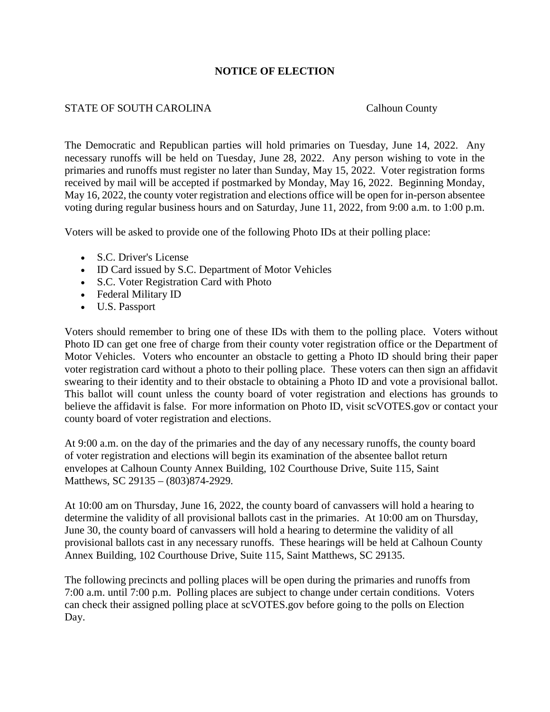## **NOTICE OF ELECTION**

## STATE OF SOUTH CAROLINA Calhoun County

The Democratic and Republican parties will hold primaries on Tuesday, June 14, 2022. Any necessary runoffs will be held on Tuesday, June 28, 2022. Any person wishing to vote in the primaries and runoffs must register no later than Sunday, May 15, 2022. Voter registration forms received by mail will be accepted if postmarked by Monday, May 16, 2022. Beginning Monday, May 16, 2022, the county voter registration and elections office will be open for in-person absentee voting during regular business hours and on Saturday, June 11, 2022, from 9:00 a.m. to 1:00 p.m.

Voters will be asked to provide one of the following Photo IDs at their polling place:

- S.C. Driver's License
- ID Card issued by S.C. Department of Motor Vehicles
- S.C. Voter Registration Card with Photo
- Federal Military ID
- U.S. Passport

Voters should remember to bring one of these IDs with them to the polling place. Voters without Photo ID can get one free of charge from their county voter registration office or the Department of Motor Vehicles. Voters who encounter an obstacle to getting a Photo ID should bring their paper voter registration card without a photo to their polling place. These voters can then sign an affidavit swearing to their identity and to their obstacle to obtaining a Photo ID and vote a provisional ballot. This ballot will count unless the county board of voter registration and elections has grounds to believe the affidavit is false. For more information on Photo ID, visit scVOTES.gov or contact your county board of voter registration and elections.

At 9:00 a.m. on the day of the primaries and the day of any necessary runoffs, the county board of voter registration and elections will begin its examination of the absentee ballot return envelopes at Calhoun County Annex Building, 102 Courthouse Drive, Suite 115, Saint Matthews, SC 29135 – (803)874-2929*.*

At 10:00 am on Thursday, June 16, 2022, the county board of canvassers will hold a hearing to determine the validity of all provisional ballots cast in the primaries. At 10:00 am on Thursday, June 30, the county board of canvassers will hold a hearing to determine the validity of all provisional ballots cast in any necessary runoffs. These hearings will be held at Calhoun County Annex Building, 102 Courthouse Drive, Suite 115, Saint Matthews, SC 29135.

The following precincts and polling places will be open during the primaries and runoffs from 7:00 a.m. until 7:00 p.m. Polling places are subject to change under certain conditions. Voters can check their assigned polling place at scVOTES.gov before going to the polls on Election Day.